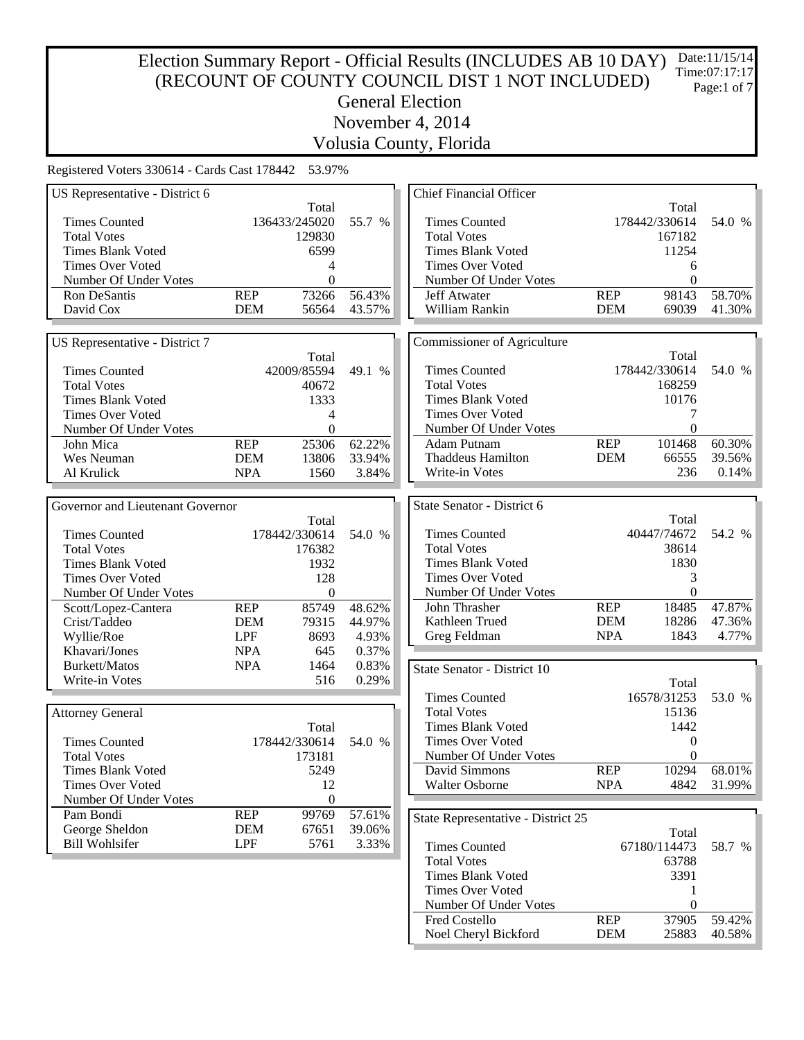#### Election Summary Report - Official Results (INCLUDES AB 10 DAY) (RECOUNT OF COUNTY COUNCIL DIST 1 NOT INCLUDED) General Election November 4, 2014 Date:11/15/14 Time:07:17:17 Page:1 of 7

Volusia County, Florida

| US Representative - District 6   |            |                  |        | <b>Chief Financial Officer</b>                      |            |               |        |
|----------------------------------|------------|------------------|--------|-----------------------------------------------------|------------|---------------|--------|
|                                  |            | Total            |        |                                                     |            | Total         |        |
| <b>Times Counted</b>             |            | 136433/245020    | 55.7 % | <b>Times Counted</b>                                |            | 178442/330614 | 54.0 % |
| <b>Total Votes</b>               |            | 129830           |        | <b>Total Votes</b>                                  |            | 167182        |        |
| <b>Times Blank Voted</b>         |            | 6599             |        | <b>Times Blank Voted</b>                            |            | 11254         |        |
| <b>Times Over Voted</b>          |            | 4                |        | <b>Times Over Voted</b>                             |            | 6             |        |
| Number Of Under Votes            |            | $\mathbf{0}$     |        | Number Of Under Votes                               |            | $\theta$      |        |
| Ron DeSantis                     | <b>REP</b> | 73266            | 56.43% | Jeff Atwater                                        | <b>REP</b> | 98143         | 58.70% |
| David Cox                        | <b>DEM</b> | 56564            | 43.57% | William Rankin                                      | <b>DEM</b> | 69039         | 41.30% |
|                                  |            |                  |        |                                                     |            |               |        |
| US Representative - District 7   |            |                  |        | Commissioner of Agriculture                         |            |               |        |
|                                  |            | Total            |        |                                                     |            | Total         |        |
| <b>Times Counted</b>             |            | 42009/85594      | 49.1 % | <b>Times Counted</b>                                |            | 178442/330614 | 54.0 % |
| <b>Total Votes</b>               |            | 40672            |        | <b>Total Votes</b>                                  |            | 168259        |        |
| <b>Times Blank Voted</b>         |            | 1333             |        | <b>Times Blank Voted</b>                            |            | 10176         |        |
| <b>Times Over Voted</b>          |            | 4                |        | Times Over Voted                                    |            | 7             |        |
| Number Of Under Votes            |            | $\boldsymbol{0}$ |        | Number Of Under Votes                               |            | $\theta$      |        |
| John Mica                        | <b>REP</b> | 25306            | 62.22% | Adam Putnam                                         | <b>REP</b> | 101468        | 60.30% |
| Wes Neuman                       | <b>DEM</b> | 13806            | 33.94% | <b>Thaddeus Hamilton</b>                            | <b>DEM</b> | 66555         | 39.56% |
| Al Krulick                       | <b>NPA</b> | 1560             | 3.84%  | Write-in Votes                                      |            | 236           | 0.14%  |
|                                  |            |                  |        |                                                     |            |               |        |
| Governor and Lieutenant Governor |            |                  |        | State Senator - District 6                          |            |               |        |
|                                  |            | Total            |        |                                                     |            | Total         |        |
| <b>Times Counted</b>             |            | 178442/330614    | 54.0 % | <b>Times Counted</b>                                |            | 40447/74672   | 54.2 % |
| <b>Total Votes</b>               |            | 176382           |        | <b>Total Votes</b>                                  |            | 38614         |        |
| <b>Times Blank Voted</b>         |            | 1932             |        | <b>Times Blank Voted</b>                            |            | 1830          |        |
| <b>Times Over Voted</b>          |            | 128              |        | <b>Times Over Voted</b>                             |            | 3             |        |
| Number Of Under Votes            |            | $\boldsymbol{0}$ |        | Number Of Under Votes                               |            | $\theta$      |        |
| Scott/Lopez-Cantera              | <b>REP</b> | 85749            | 48.62% | John Thrasher                                       | <b>REP</b> | 18485         | 47.87% |
| Crist/Taddeo                     | <b>DEM</b> | 79315            | 44.97% | Kathleen Trued                                      | <b>DEM</b> | 18286         | 47.36% |
| Wyllie/Roe                       | <b>LPF</b> | 8693             | 4.93%  | Greg Feldman                                        | <b>NPA</b> | 1843          | 4.77%  |
| Khavari/Jones                    | <b>NPA</b> | 645              | 0.37%  |                                                     |            |               |        |
| Burkett/Matos                    | <b>NPA</b> | 1464             | 0.83%  | State Senator - District 10                         |            |               |        |
| Write-in Votes                   |            | 516              | 0.29%  |                                                     |            | Total         |        |
|                                  |            |                  |        | <b>Times Counted</b>                                |            | 16578/31253   | 53.0 % |
| <b>Attorney General</b>          |            |                  |        | <b>Total Votes</b>                                  |            | 15136         |        |
|                                  |            | Total            |        | <b>Times Blank Voted</b>                            |            | 1442          |        |
| <b>Times Counted</b>             |            | 178442/330614    | 54.0 % | Times Over Voted                                    |            | $\Omega$      |        |
| <b>Total Votes</b>               |            | 173181           |        | Number Of Under Votes                               |            | $\theta$      |        |
| Times Blank Voted                |            | 5249             |        | David Simmons                                       | <b>REP</b> | 10294         | 68.01% |
| Times Over Voted                 |            | 12               |        | Walter Osborne                                      | <b>NPA</b> | 4842          | 31.99% |
| Number Of Under Votes            |            | $\mathbf{0}$     |        |                                                     |            |               |        |
| Pam Bondi                        | <b>REP</b> | 99769            | 57.61% | State Representative - District 25                  |            |               |        |
| George Sheldon                   | <b>DEM</b> | 67651            | 39.06% |                                                     |            |               |        |
| <b>Bill Wohlsifer</b>            | LPF        | 5761             | 3.33%  |                                                     |            | Total         |        |
|                                  |            |                  |        | <b>Times Counted</b><br><b>Total Votes</b>          |            | 67180/114473  | 58.7 % |
|                                  |            |                  |        |                                                     |            | 63788         |        |
|                                  |            |                  |        | <b>Times Blank Voted</b><br><b>Times Over Voted</b> |            | 3391          |        |
|                                  |            |                  |        | Number Of Under Votes                               |            | 1<br>$\theta$ |        |
|                                  |            |                  |        | Fred Costello                                       | <b>REP</b> | 37905         | 59.42% |
|                                  |            |                  |        | Noel Cheryl Bickford                                | <b>DEM</b> | 25883         | 40.58% |
|                                  |            |                  |        |                                                     |            |               |        |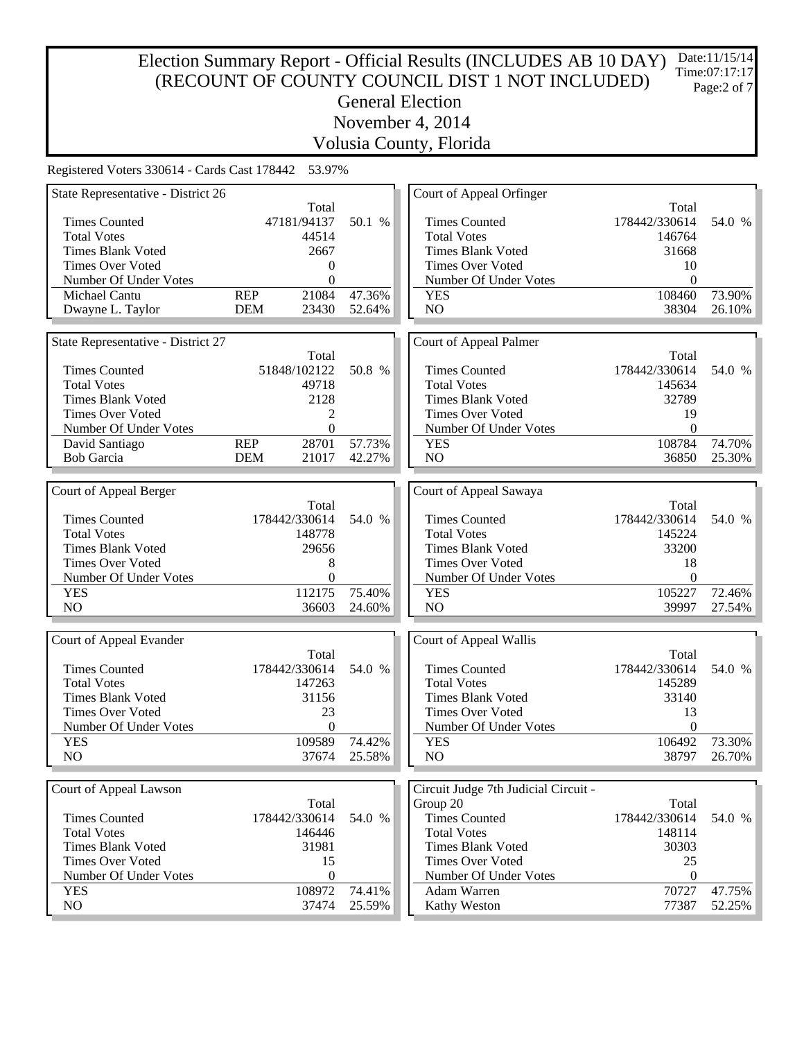# Election Summary Report - Official Results (INCLUDES AB 10 DAY) (RECOUNT OF COUNTY COUNCIL DIST 1 NOT INCLUDED) General Election November 4, 2014 Date:11/15/14 Time:07:17:17 Page:2 of 7

Volusia County, Florida

| State Representative - District 26 |                     |                  | Court of Appeal Orfinger             |                  |                  |
|------------------------------------|---------------------|------------------|--------------------------------------|------------------|------------------|
|                                    | Total               |                  |                                      | Total            |                  |
| <b>Times Counted</b>               | 47181/94137         | 50.1 %           | <b>Times Counted</b>                 | 178442/330614    | 54.0 %           |
| <b>Total Votes</b>                 | 44514               |                  | <b>Total Votes</b>                   | 146764           |                  |
| <b>Times Blank Voted</b>           | 2667                |                  | <b>Times Blank Voted</b>             | 31668            |                  |
| <b>Times Over Voted</b>            | $\Omega$            |                  | <b>Times Over Voted</b>              | 10               |                  |
| Number Of Under Votes              | $\theta$            |                  | Number Of Under Votes                | $\theta$         |                  |
| Michael Cantu                      | 21084<br><b>REP</b> | 47.36%           | <b>YES</b>                           | 108460           | 73.90%           |
| Dwayne L. Taylor                   | <b>DEM</b><br>23430 | 52.64%           | NO                                   | 38304            | 26.10%           |
|                                    |                     |                  |                                      |                  |                  |
| State Representative - District 27 |                     |                  | Court of Appeal Palmer               |                  |                  |
|                                    | Total               |                  |                                      | Total            |                  |
| <b>Times Counted</b>               | 51848/102122        | 50.8 %           | <b>Times Counted</b>                 | 178442/330614    | 54.0 %           |
| <b>Total Votes</b>                 | 49718               |                  | <b>Total Votes</b>                   | 145634           |                  |
| <b>Times Blank Voted</b>           | 2128                |                  | <b>Times Blank Voted</b>             | 32789            |                  |
| <b>Times Over Voted</b>            | 2                   |                  | Times Over Voted                     | 19               |                  |
| Number Of Under Votes              | $\theta$            |                  | Number Of Under Votes                | $\theta$         |                  |
| David Santiago                     | <b>REP</b><br>28701 | 57.73%           | <b>YES</b>                           | 108784           | 74.70%           |
| <b>Bob Garcia</b>                  | <b>DEM</b><br>21017 | 42.27%           | NO                                   | 36850            | 25.30%           |
|                                    |                     |                  |                                      |                  |                  |
| Court of Appeal Berger             |                     |                  | Court of Appeal Sawaya               |                  |                  |
|                                    | Total               |                  |                                      | Total            |                  |
| <b>Times Counted</b>               | 178442/330614       | 54.0 %           | <b>Times Counted</b>                 | 178442/330614    | 54.0 %           |
| <b>Total Votes</b>                 | 148778              |                  | <b>Total Votes</b>                   | 145224           |                  |
| <b>Times Blank Voted</b>           | 29656               |                  | <b>Times Blank Voted</b>             | 33200            |                  |
| <b>Times Over Voted</b>            | 8                   |                  | <b>Times Over Voted</b>              | 18               |                  |
| Number Of Under Votes              | 0                   |                  | Number Of Under Votes                | $\theta$         |                  |
| <b>YES</b>                         | 112175              | 75.40%           | <b>YES</b>                           | 105227           | 72.46%           |
| N <sub>O</sub>                     | 36603               | 24.60%           | NO                                   | 39997            | 27.54%           |
|                                    |                     |                  |                                      |                  |                  |
| Court of Appeal Evander            |                     |                  | Court of Appeal Wallis               |                  |                  |
|                                    | Total               |                  |                                      | Total            |                  |
| <b>Times Counted</b>               | 178442/330614       | 54.0 %           | <b>Times Counted</b>                 | 178442/330614    | 54.0 %           |
| <b>Total Votes</b>                 | 147263              |                  | <b>Total Votes</b>                   | 145289           |                  |
| <b>Times Blank Voted</b>           | 31156               |                  | <b>Times Blank Voted</b>             | 33140            |                  |
| <b>Times Over Voted</b>            | 23                  |                  | <b>Times Over Voted</b>              | 13               |                  |
| Number Of Under Votes              | $\boldsymbol{0}$    |                  | Number Of Under Votes                | $\boldsymbol{0}$ |                  |
| <b>YES</b>                         | 109589              | 74.42%           | <b>YES</b>                           | 106492           | 73.30%           |
| NO                                 | 37674               | 25.58%           | NO                                   | 38797            | 26.70%           |
|                                    |                     |                  |                                      |                  |                  |
|                                    |                     |                  |                                      |                  |                  |
| Court of Appeal Lawson             |                     |                  | Circuit Judge 7th Judicial Circuit - |                  |                  |
|                                    | Total               |                  | Group 20                             | Total            |                  |
| <b>Times Counted</b>               | 178442/330614       | 54.0 %           | <b>Times Counted</b>                 | 178442/330614    | 54.0 %           |
| <b>Total Votes</b>                 |                     |                  |                                      |                  |                  |
|                                    | 146446              |                  | <b>Total Votes</b>                   | 148114           |                  |
| <b>Times Blank Voted</b>           | 31981               |                  | <b>Times Blank Voted</b>             | 30303            |                  |
| <b>Times Over Voted</b>            | 15                  |                  | <b>Times Over Voted</b>              | 25               |                  |
| Number Of Under Votes              | $\boldsymbol{0}$    |                  | Number Of Under Votes                | $\boldsymbol{0}$ |                  |
| <b>YES</b><br>NO                   | 108972<br>37474     | 74.41%<br>25.59% | Adam Warren<br>Kathy Weston          | 70727<br>77387   | 47.75%<br>52.25% |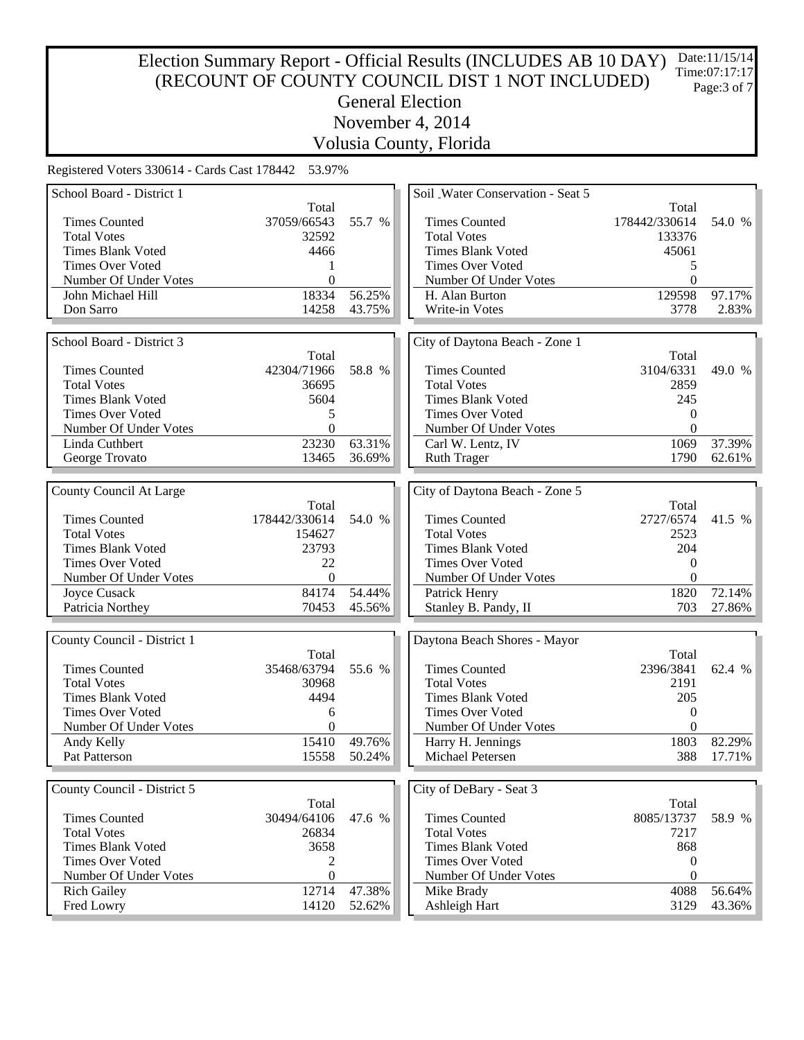# Election Summary Report - Official Results (INCLUDES AB 10 DAY) (RECOUNT OF COUNTY COUNCIL DIST 1 NOT INCLUDED) General Election November 4, 2014 Date:11/15/14 Time:07:17:17 Page:3 of 7

Volusia County, Florida

| School Board - District 1   |                  |        | Soil Water Conservation - Seat 5 |                  |        |
|-----------------------------|------------------|--------|----------------------------------|------------------|--------|
|                             | Total            |        |                                  | Total            |        |
| <b>Times Counted</b>        | 37059/66543      | 55.7 % | <b>Times Counted</b>             | 178442/330614    | 54.0 % |
| <b>Total Votes</b>          | 32592            |        | <b>Total Votes</b>               | 133376           |        |
| <b>Times Blank Voted</b>    | 4466             |        | Times Blank Voted                | 45061            |        |
| <b>Times Over Voted</b>     |                  |        | Times Over Voted                 | 5                |        |
| Number Of Under Votes       | $\boldsymbol{0}$ |        | Number Of Under Votes            | $\overline{0}$   |        |
| John Michael Hill           | 18334            | 56.25% | H. Alan Burton                   | 129598           | 97.17% |
| Don Sarro                   | 14258            | 43.75% | Write-in Votes                   | 3778             | 2.83%  |
|                             |                  |        |                                  |                  |        |
| School Board - District 3   |                  |        | City of Daytona Beach - Zone 1   |                  |        |
|                             | Total            |        |                                  | Total            |        |
| <b>Times Counted</b>        | 42304/71966      | 58.8 % | <b>Times Counted</b>             | 3104/6331        | 49.0 % |
| <b>Total Votes</b>          | 36695            |        | <b>Total Votes</b>               | 2859             |        |
| <b>Times Blank Voted</b>    | 5604             |        | <b>Times Blank Voted</b>         | 245              |        |
| <b>Times Over Voted</b>     | 5                |        | Times Over Voted                 | $\theta$         |        |
| Number Of Under Votes       | $\theta$         |        | Number Of Under Votes            | $\theta$         |        |
| Linda Cuthbert              | 23230            | 63.31% | Carl W. Lentz, IV                | 1069             | 37.39% |
| George Trovato              | 13465            | 36.69% | <b>Ruth Trager</b>               | 1790             | 62.61% |
|                             |                  |        |                                  |                  |        |
|                             |                  |        |                                  |                  |        |
| County Council At Large     |                  |        | City of Daytona Beach - Zone 5   |                  |        |
| <b>Times Counted</b>        | Total            |        |                                  | Total            |        |
|                             | 178442/330614    | 54.0 % | <b>Times Counted</b>             | 2727/6574        | 41.5 % |
| <b>Total Votes</b>          | 154627           |        | <b>Total Votes</b>               | 2523             |        |
| <b>Times Blank Voted</b>    | 23793            |        | <b>Times Blank Voted</b>         | 204              |        |
| <b>Times Over Voted</b>     | 22               |        | <b>Times Over Voted</b>          | $\theta$         |        |
| Number Of Under Votes       | $\overline{0}$   |        | Number Of Under Votes            | $\theta$         |        |
| Joyce Cusack                | 84174            | 54.44% | Patrick Henry                    | 1820             | 72.14% |
| Patricia Northey            | 70453            | 45.56% | Stanley B. Pandy, II             | 703              | 27.86% |
|                             |                  |        |                                  |                  |        |
| County Council - District 1 |                  |        | Daytona Beach Shores - Mayor     |                  |        |
|                             | Total            |        |                                  | Total            |        |
| <b>Times Counted</b>        | 35468/63794      | 55.6 % | <b>Times Counted</b>             | 2396/3841        | 62.4 % |
| <b>Total Votes</b>          | 30968            |        | <b>Total Votes</b>               | 2191             |        |
| <b>Times Blank Voted</b>    | 4494             |        | <b>Times Blank Voted</b>         | 205              |        |
| <b>Times Over Voted</b>     | 6                |        | <b>Times Over Voted</b>          | $\theta$         |        |
| Number Of Under Votes       | $\theta$         |        | Number Of Under Votes            | $\theta$         |        |
| Andy Kelly                  | 15410            | 49.76% | Harry H. Jennings                | 1803             | 82.29% |
| Pat Patterson               | 15558            | 50.24% | Michael Petersen                 | 388              | 17.71% |
|                             |                  |        |                                  |                  |        |
| County Council - District 5 |                  |        | City of DeBary - Seat 3          |                  |        |
|                             | Total            |        |                                  | Total            |        |
| <b>Times Counted</b>        | 30494/64106      | 47.6 % | <b>Times Counted</b>             | 8085/13737       | 58.9 % |
| <b>Total Votes</b>          | 26834            |        | <b>Total Votes</b>               | 7217             |        |
| <b>Times Blank Voted</b>    | 3658             |        | <b>Times Blank Voted</b>         | 868              |        |
| <b>Times Over Voted</b>     | 2                |        | Times Over Voted                 | $\boldsymbol{0}$ |        |
| Number Of Under Votes       | $\mathbf{0}$     |        | Number Of Under Votes            | $\theta$         |        |
| <b>Rich Gailey</b>          | 12714            | 47.38% | Mike Brady                       | 4088             | 56.64% |
| Fred Lowry                  | 14120            | 52.62% | Ashleigh Hart                    | 3129             | 43.36% |
|                             |                  |        |                                  |                  |        |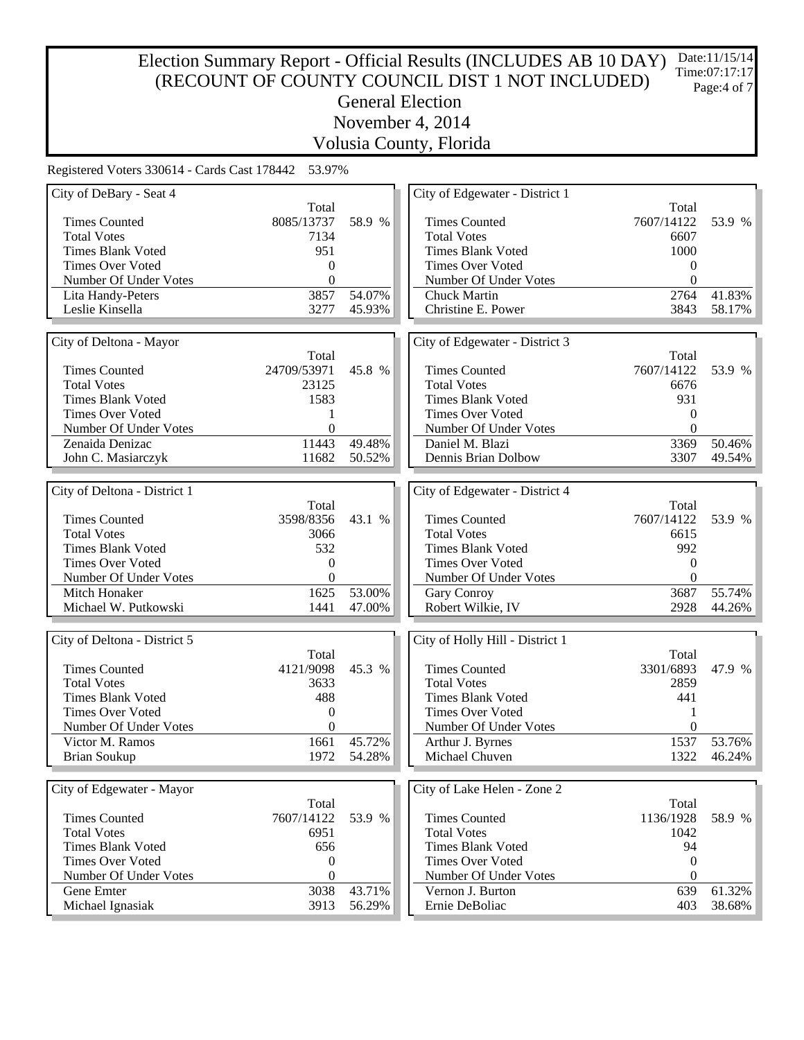# Election Summary Report - Official Results (INCLUDES AB 10 DAY) (RECOUNT OF COUNTY COUNCIL DIST 1 NOT INCLUDED) General Election November 4, 2014 Date:11/15/14 Time:07:17:17 Page:4 of 7

Volusia County, Florida

| City of DeBary - Seat 4      |                  |        | City of Edgewater - District 1  |                  |        |
|------------------------------|------------------|--------|---------------------------------|------------------|--------|
|                              | Total            |        |                                 | Total            |        |
| <b>Times Counted</b>         | 8085/13737       | 58.9 % | <b>Times Counted</b>            | 7607/14122       | 53.9 % |
| <b>Total Votes</b>           | 7134             |        | <b>Total Votes</b>              | 6607             |        |
| <b>Times Blank Voted</b>     | 951              |        | <b>Times Blank Voted</b>        | 1000             |        |
| <b>Times Over Voted</b>      | $\boldsymbol{0}$ |        | Times Over Voted                | $\theta$         |        |
| Number Of Under Votes        | $\mathbf{0}$     |        | Number Of Under Votes           | $\theta$         |        |
| Lita Handy-Peters            | 3857             | 54.07% | <b>Chuck Martin</b>             | 2764             | 41.83% |
| Leslie Kinsella              | 3277             | 45.93% | Christine E. Power              | 3843             | 58.17% |
|                              |                  |        |                                 |                  |        |
| City of Deltona - Mayor      |                  |        | City of Edgewater - District 3  |                  |        |
|                              | Total            |        |                                 | Total            |        |
| <b>Times Counted</b>         | 24709/53971      | 45.8 % | <b>Times Counted</b>            | 7607/14122       | 53.9 % |
| <b>Total Votes</b>           | 23125            |        | <b>Total Votes</b>              | 6676             |        |
| <b>Times Blank Voted</b>     | 1583             |        | <b>Times Blank Voted</b>        | 931              |        |
| <b>Times Over Voted</b>      |                  |        | Times Over Voted                | $\theta$         |        |
|                              | 1                |        |                                 |                  |        |
| Number Of Under Votes        | $\mathbf{0}$     |        | Number Of Under Votes           | $\theta$         |        |
| Zenaida Denizac              | 11443            | 49.48% | Daniel M. Blazi                 | 3369             | 50.46% |
| John C. Masiarczyk           | 11682            | 50.52% | Dennis Brian Dolbow             | 3307             | 49.54% |
|                              |                  |        |                                 |                  |        |
| City of Deltona - District 1 |                  |        | City of Edgewater - District 4  |                  |        |
|                              | Total            |        |                                 | Total            |        |
| <b>Times Counted</b>         | 3598/8356        | 43.1 % | <b>Times Counted</b>            | 7607/14122       | 53.9 % |
| <b>Total Votes</b>           | 3066             |        | <b>Total Votes</b>              | 6615             |        |
| <b>Times Blank Voted</b>     | 532              |        | <b>Times Blank Voted</b>        | 992              |        |
| <b>Times Over Voted</b>      | $\mathbf{0}$     |        | Times Over Voted                | $\theta$         |        |
| Number Of Under Votes        | $\overline{0}$   |        | Number Of Under Votes           | $\theta$         |        |
| Mitch Honaker                | 1625             | 53.00% | Gary Conroy                     | 3687             | 55.74% |
| Michael W. Putkowski         | 1441             | 47.00% | Robert Wilkie, IV               | 2928             | 44.26% |
|                              |                  |        |                                 |                  |        |
| City of Deltona - District 5 |                  |        | City of Holly Hill - District 1 |                  |        |
|                              | Total            |        |                                 | Total            |        |
| <b>Times Counted</b>         | 4121/9098        | 45.3 % | <b>Times Counted</b>            | 3301/6893        | 47.9 % |
| <b>Total Votes</b>           | 3633             |        | <b>Total Votes</b>              | 2859             |        |
| <b>Times Blank Voted</b>     | 488              |        | <b>Times Blank Voted</b>        | 441              |        |
| <b>Times Over Voted</b>      | $\boldsymbol{0}$ |        | Times Over Voted                | 1                |        |
| Number Of Under Votes        | $\theta$         |        | Number Of Under Votes           | $\overline{0}$   |        |
| Victor M. Ramos              | 1661             | 45.72% | Arthur J. Byrnes                | 1537             | 53.76% |
| <b>Brian Soukup</b>          | 1972             | 54.28% | Michael Chuven                  | 1322             | 46.24% |
|                              |                  |        |                                 |                  |        |
|                              |                  |        |                                 |                  |        |
| City of Edgewater - Mayor    |                  |        | City of Lake Helen - Zone 2     |                  |        |
|                              | Total            |        |                                 | Total            |        |
| <b>Times Counted</b>         | 7607/14122       | 53.9 % | <b>Times Counted</b>            | 1136/1928        | 58.9 % |
| <b>Total Votes</b>           | 6951             |        | <b>Total Votes</b>              | 1042             |        |
| <b>Times Blank Voted</b>     | 656              |        | <b>Times Blank Voted</b>        | 94               |        |
| <b>Times Over Voted</b>      | 0                |        | Times Over Voted                | $\boldsymbol{0}$ |        |
| Number Of Under Votes        | $\mathbf{0}$     |        | Number Of Under Votes           | $\theta$         |        |
| Gene Emter                   | 3038             | 43.71% | Vernon J. Burton                | 639              | 61.32% |
| Michael Ignasiak             | 3913             | 56.29% | Ernie DeBoliac                  | 403              | 38.68% |
|                              |                  |        |                                 |                  |        |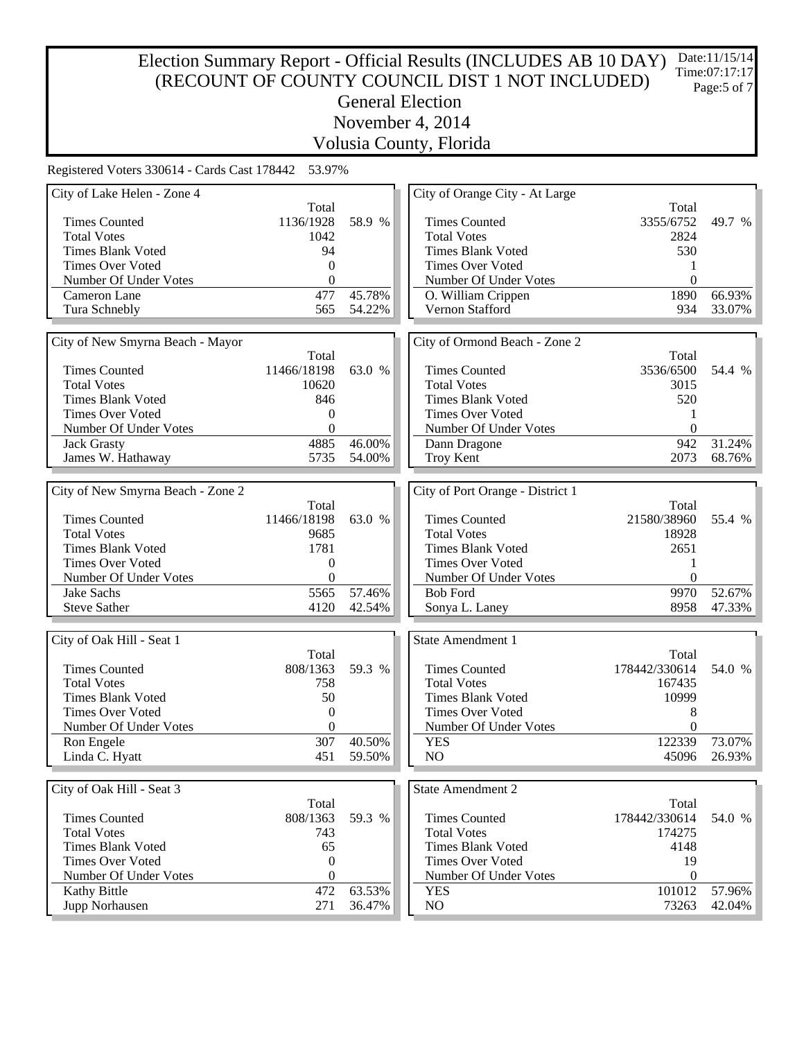#### Election Summary Report - Official Results (INCLUDES AB 10 DAY) (RECOUNT OF COUNTY COUNCIL DIST 1 NOT INCLUDED) General Election November 4, 2014 Date:11/15/14 Time:07:17:17 Page:5 of 7

Volusia County, Florida

| City of Lake Helen - Zone 4                         |                                  |        | City of Orange City - At Large   |                       |        |
|-----------------------------------------------------|----------------------------------|--------|----------------------------------|-----------------------|--------|
|                                                     | Total                            |        |                                  | Total                 |        |
| <b>Times Counted</b>                                | 1136/1928                        | 58.9 % | <b>Times Counted</b>             | 3355/6752             | 49.7 % |
| <b>Total Votes</b>                                  | 1042                             |        | <b>Total Votes</b>               | 2824                  |        |
| <b>Times Blank Voted</b>                            | 94                               |        | <b>Times Blank Voted</b>         | 530                   |        |
| <b>Times Over Voted</b>                             | $\Omega$                         |        | <b>Times Over Voted</b>          |                       |        |
| Number Of Under Votes                               | $\mathbf{0}$                     |        | Number Of Under Votes            | $\Omega$              |        |
| Cameron Lane                                        | 477                              | 45.78% | O. William Crippen               | 1890                  | 66.93% |
| Tura Schnebly                                       | 565                              | 54.22% | Vernon Stafford                  | 934                   | 33.07% |
|                                                     |                                  |        |                                  |                       |        |
| City of New Smyrna Beach - Mayor                    |                                  |        | City of Ormond Beach - Zone 2    |                       |        |
|                                                     | Total                            |        |                                  | Total                 |        |
| <b>Times Counted</b>                                | 11466/18198                      | 63.0 % | <b>Times Counted</b>             | 3536/6500             | 54.4 % |
| <b>Total Votes</b>                                  | 10620                            |        | <b>Total Votes</b>               | 3015                  |        |
| <b>Times Blank Voted</b>                            | 846                              |        | <b>Times Blank Voted</b>         | 520                   |        |
| <b>Times Over Voted</b>                             | $\boldsymbol{0}$                 |        | <b>Times Over Voted</b>          | 1                     |        |
| Number Of Under Votes                               | $\mathbf{0}$                     |        | Number Of Under Votes            | $\boldsymbol{0}$      |        |
| <b>Jack Grasty</b>                                  | 4885                             | 46.00% | Dann Dragone                     | 942                   | 31.24% |
| James W. Hathaway                                   | 5735                             | 54.00% | Troy Kent                        | 2073                  | 68.76% |
|                                                     |                                  |        |                                  |                       |        |
| City of New Smyrna Beach - Zone 2                   |                                  |        | City of Port Orange - District 1 |                       |        |
|                                                     | Total                            |        |                                  | Total                 |        |
| <b>Times Counted</b>                                | 11466/18198                      | 63.0 % | <b>Times Counted</b>             | 21580/38960           | 55.4 % |
| <b>Total Votes</b>                                  | 9685                             |        | <b>Total Votes</b>               | 18928                 |        |
| <b>Times Blank Voted</b>                            | 1781                             |        | <b>Times Blank Voted</b>         | 2651                  |        |
| <b>Times Over Voted</b>                             | $\boldsymbol{0}$                 |        | Times Over Voted                 | 1                     |        |
| Number Of Under Votes                               | $\boldsymbol{0}$                 |        | Number Of Under Votes            | $\Omega$              |        |
| Jake Sachs                                          | 5565                             | 57.46% | <b>Bob Ford</b>                  | 9970                  | 52.67% |
| <b>Steve Sather</b>                                 | 4120                             | 42.54% | Sonya L. Laney                   | 8958                  | 47.33% |
|                                                     |                                  |        |                                  |                       |        |
|                                                     |                                  |        | <b>State Amendment 1</b>         |                       |        |
| City of Oak Hill - Seat 1                           | Total                            |        |                                  | Total                 |        |
| <b>Times Counted</b>                                | 808/1363                         | 59.3 % | <b>Times Counted</b>             | 178442/330614         | 54.0 % |
| <b>Total Votes</b>                                  |                                  |        | <b>Total Votes</b>               | 167435                |        |
|                                                     | 758                              |        | <b>Times Blank Voted</b>         | 10999                 |        |
| <b>Times Blank Voted</b><br><b>Times Over Voted</b> | 50                               |        | <b>Times Over Voted</b>          |                       |        |
|                                                     | $\boldsymbol{0}$<br>$\mathbf{0}$ |        | Number Of Under Votes            | 8<br>$\boldsymbol{0}$ |        |
| Number Of Under Votes                               |                                  |        |                                  |                       |        |
| Ron Engele                                          | 307                              | 40.50% | <b>YES</b>                       | 122339                | 73.07% |
| Linda C. Hyatt                                      | 451                              | 59.50% | NO                               | 45096                 | 26.93% |
|                                                     |                                  |        |                                  |                       |        |
| City of Oak Hill - Seat 3                           |                                  |        | <b>State Amendment 2</b>         |                       |        |
|                                                     | Total                            |        |                                  | Total                 |        |
| <b>Times Counted</b>                                | 808/1363                         | 59.3 % | <b>Times Counted</b>             | 178442/330614         | 54.0 % |
| <b>Total Votes</b>                                  | 743                              |        | <b>Total Votes</b>               | 174275                |        |
| <b>Times Blank Voted</b>                            | 65                               |        | <b>Times Blank Voted</b>         | 4148                  |        |
| <b>Times Over Voted</b>                             | $\boldsymbol{0}$                 |        | <b>Times Over Voted</b>          | 19                    |        |
| Number Of Under Votes                               | $\boldsymbol{0}$                 |        | Number Of Under Votes            | $\boldsymbol{0}$      |        |
| Kathy Bittle                                        | 472                              | 63.53% | <b>YES</b>                       | 101012                | 57.96% |
| Jupp Norhausen                                      | 271                              | 36.47% | NO                               | 73263                 | 42.04% |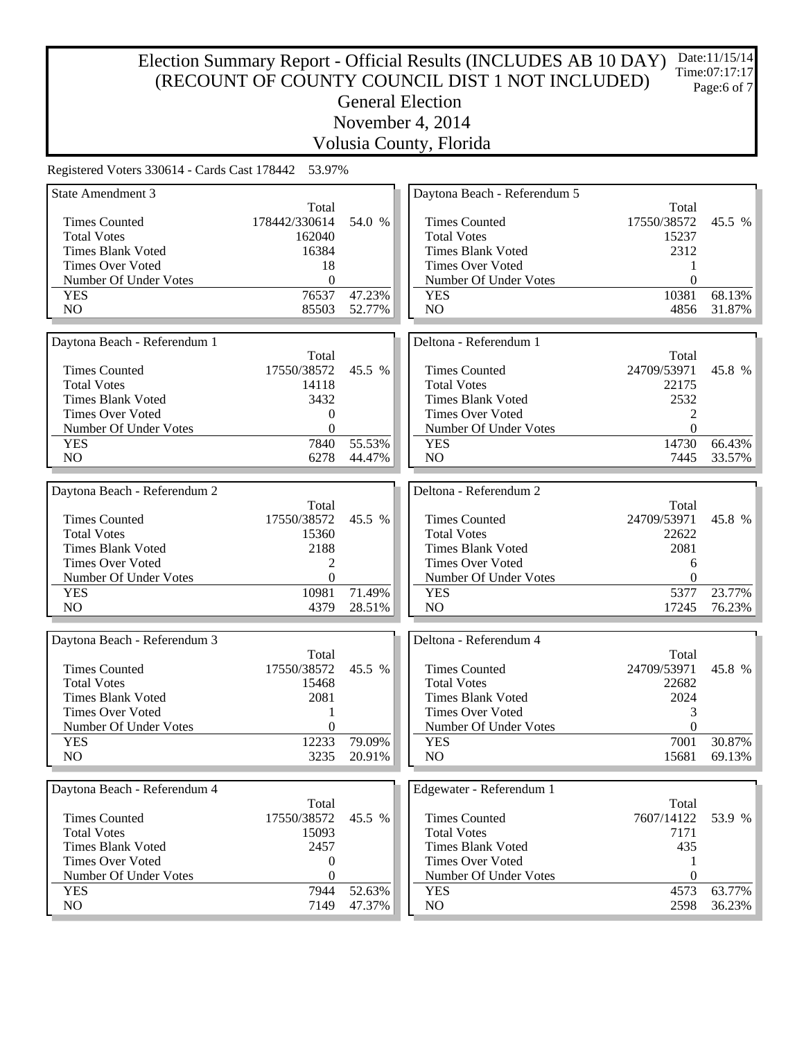#### Election Summary Report - Official Results (INCLUDES AB 10 DAY) (RECOUNT OF COUNTY COUNCIL DIST 1 NOT INCLUDED) General Election November 4, 2014 Date:11/15/14 Time:07:17:17 Page:6 of 7

Volusia County, Florida

| <b>State Amendment 3</b>     |                  |        | Daytona Beach - Referendum 5 |                  |        |
|------------------------------|------------------|--------|------------------------------|------------------|--------|
|                              | Total            |        |                              | Total            |        |
| <b>Times Counted</b>         | 178442/330614    | 54.0 % | <b>Times Counted</b>         | 17550/38572      | 45.5 % |
| <b>Total Votes</b>           | 162040           |        | <b>Total Votes</b>           | 15237            |        |
| <b>Times Blank Voted</b>     | 16384            |        | <b>Times Blank Voted</b>     | 2312             |        |
| <b>Times Over Voted</b>      | 18               |        | Times Over Voted             |                  |        |
| Number Of Under Votes        | $\boldsymbol{0}$ |        | Number Of Under Votes        | $\theta$         |        |
| <b>YES</b>                   | 76537            | 47.23% | <b>YES</b>                   | 10381            | 68.13% |
| NO                           | 85503            | 52.77% | NO                           | 4856             | 31.87% |
|                              |                  |        |                              |                  |        |
| Daytona Beach - Referendum 1 |                  |        | Deltona - Referendum 1       |                  |        |
|                              | Total            |        |                              | Total            |        |
| <b>Times Counted</b>         | 17550/38572      | 45.5 % | <b>Times Counted</b>         | 24709/53971      | 45.8 % |
| <b>Total Votes</b>           | 14118            |        | <b>Total Votes</b>           | 22175            |        |
| <b>Times Blank Voted</b>     | 3432             |        | <b>Times Blank Voted</b>     | 2532             |        |
| <b>Times Over Voted</b>      | 0                |        | Times Over Voted             | 2                |        |
| Number Of Under Votes        | $\boldsymbol{0}$ |        | Number Of Under Votes        | $\mathbf{0}$     |        |
| <b>YES</b>                   | 7840             | 55.53% | <b>YES</b>                   | 14730            | 66.43% |
| NO                           | 6278             | 44.47% | NO                           | 7445             | 33.57% |
|                              |                  |        |                              |                  |        |
| Daytona Beach - Referendum 2 |                  |        | Deltona - Referendum 2       |                  |        |
|                              | Total            |        |                              | Total            |        |
| <b>Times Counted</b>         | 17550/38572      | 45.5 % | <b>Times Counted</b>         | 24709/53971      | 45.8 % |
| <b>Total Votes</b>           | 15360            |        | <b>Total Votes</b>           | 22622            |        |
| <b>Times Blank Voted</b>     | 2188             |        | <b>Times Blank Voted</b>     | 2081             |        |
| <b>Times Over Voted</b>      | 2                |        | <b>Times Over Voted</b>      | 6                |        |
| Number Of Under Votes        | $\theta$         |        | Number Of Under Votes        | $\Omega$         |        |
| <b>YES</b>                   | 10981            | 71.49% | <b>YES</b>                   | 5377             | 23.77% |
| NO                           | 4379             | 28.51% | NO                           | 17245            | 76.23% |
|                              |                  |        |                              |                  |        |
| Daytona Beach - Referendum 3 |                  |        | Deltona - Referendum 4       |                  |        |
|                              | Total            |        |                              | Total            |        |
| <b>Times Counted</b>         | 17550/38572      | 45.5 % | <b>Times Counted</b>         | 24709/53971      | 45.8 % |
| <b>Total Votes</b>           | 15468            |        | <b>Total Votes</b>           | 22682            |        |
| <b>Times Blank Voted</b>     | 2081             |        | <b>Times Blank Voted</b>     | 2024             |        |
| <b>Times Over Voted</b>      | 1                |        | <b>Times Over Voted</b>      | 3                |        |
| Number Of Under Votes        | $\boldsymbol{0}$ |        | Number Of Under Votes        | $\boldsymbol{0}$ |        |
| <b>YES</b>                   | 12233            | 79.09% | <b>YES</b>                   | 7001             | 30.87% |
| NO                           | 3235             | 20.91% | N <sub>O</sub>               | 15681            | 69.13% |
|                              |                  |        |                              |                  |        |
| Daytona Beach - Referendum 4 |                  |        | Edgewater - Referendum 1     |                  |        |
|                              | Total            |        |                              | Total            |        |
| <b>Times Counted</b>         | 17550/38572      | 45.5 % | <b>Times Counted</b>         | 7607/14122       | 53.9 % |
| <b>Total Votes</b>           | 15093            |        | <b>Total Votes</b>           | 7171             |        |
| <b>Times Blank Voted</b>     | 2457             |        | <b>Times Blank Voted</b>     | 435              |        |
| <b>Times Over Voted</b>      | 0                |        | <b>Times Over Voted</b>      | 1                |        |
| Number Of Under Votes        | $\boldsymbol{0}$ |        | Number Of Under Votes        | $\boldsymbol{0}$ |        |
| <b>YES</b>                   | 7944             | 52.63% | <b>YES</b>                   | 4573             | 63.77% |
| NO                           | 7149             | 47.37% | NO                           | 2598             | 36.23% |
|                              |                  |        |                              |                  |        |